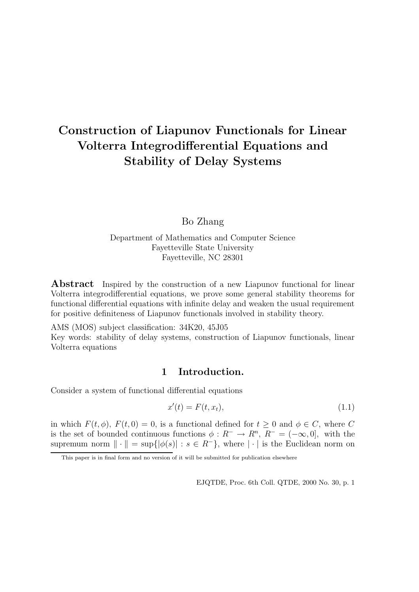# Construction of Liapunov Functionals for Linear Volterra Integrodifferential Equations and Stability of Delay Systems

## Bo Zhang

Department of Mathematics and Computer Science Fayetteville State University Fayetteville, NC 28301

**Abstract** Inspired by the construction of a new Liapunov functional for linear Volterra integrodifferential equations, we prove some general stability theorems for functional differential equations with infinite delay and weaken the usual requirement for positive definiteness of Liapunov functionals involved in stability theory.

AMS (MOS) subject classification: 34K20, 45J05 Key words: stability of delay systems, construction of Liapunov functionals, linear Volterra equations

## 1 Introduction.

Consider a system of functional differential equations

$$
x'(t) = F(t, x_t), \tag{1.1}
$$

in which  $F(t, \phi)$ ,  $F(t, 0) = 0$ , is a functional defined for  $t \geq 0$  and  $\phi \in C$ , where C is the set of bounded continuous functions  $\phi: R^- \to R^n$ ,  $R^- = (-\infty, 0]$ , with the supremum norm  $\|\cdot\| = \sup\{|\phi(s)| : s \in R^-\}$ , where  $|\cdot|$  is the Euclidean norm on

This paper is in final form and no version of it will be submitted for publication elsewhere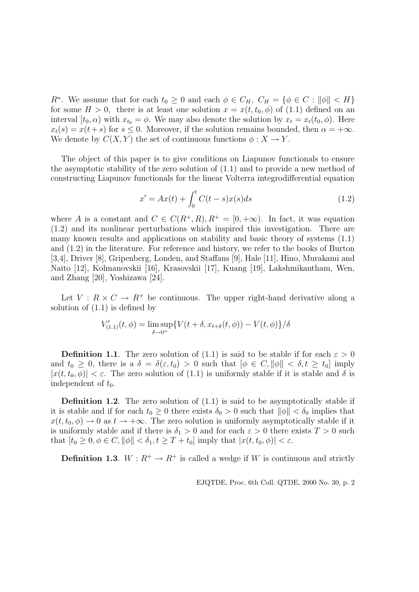$R^n$ . We assume that for each  $t_0 \geq 0$  and each  $\phi \in C_H$ ,  $C_H = {\phi \in C : ||\phi|| < H}$ for some  $H > 0$ , there is at least one solution  $x = x(t, t_0, \phi)$  of (1.1) defined on an interval  $[t_0, \alpha)$  with  $x_{t_0} = \phi$ . We may also denote the solution by  $x_t = x_t(t_0, \phi)$ . Here  $x_t(s) = x(t+s)$  for  $s \leq 0$ . Moreover, if the solution remains bounded, then  $\alpha = +\infty$ . We denote by  $C(X, Y)$  the set of continuous functions  $\phi: X \to Y$ .

The object of this paper is to give conditions on Liapunov functionals to ensure the asymptotic stability of the zero solution of (1.1) and to provide a new method of constructing Liapunov functionals for the linear Volterra integrodifferential equation

$$
x' = Ax(t) + \int_0^t C(t - s)x(s)ds
$$
 (1.2)

where A is a constant and  $C \in C(R^+, R), R^+ = [0, +\infty)$ . In fact, it was equation (1.2) and its nonlinear perturbations which inspired this investigation. There are many known results and applications on stability and basic theory of systems (1.1) and (1.2) in the literature. For reference and history, we refer to the books of Burton [3,4], Driver [8], Gripenberg, Londen, and Staffans [9], Hale [11], Hino, Murakami and Naito [12], Kolmanovskii [16], Krasovskii [17], Kuang [19], Lakshmikantham, Wen, and Zhang [20], Yoshizawa [24].

Let  $V: R \times C \rightarrow R^+$  be continuous. The upper right-hand derivative along a solution of  $(1.1)$  is defined by

$$
V'_{(1.1)}(t,\phi) = \limsup_{\delta \to 0^+} \{ V(t + \delta, x_{t+\delta}(t,\phi)) - V(t,\phi) \} / \delta
$$

**Definition 1.1**. The zero solution of (1.1) is said to be stable if for each  $\varepsilon > 0$ and  $t_0 \geq 0$ , there is a  $\delta = \delta(\varepsilon, t_0) > 0$  such that  $[\phi \in C, ||\phi|| < \delta, t \geq t_0]$  imply  $|x(t,t_0,\phi)| < \varepsilon$ . The zero solution of (1.1) is uniformly stable if it is stable and  $\delta$  is independent of  $t_0$ .

**Definition 1.2**. The zero solution of  $(1.1)$  is said to be asymptotically stable if it is stable and if for each  $t_0 \geq 0$  there exists  $\delta_0 > 0$  such that  $\|\phi\| < \delta_0$  implies that  $x(t, t_0, \phi) \rightarrow 0$  as  $t \rightarrow +\infty$ . The zero solution is uniformly asymptotically stable if it is uniformly stable and if there is  $\delta_1 > 0$  and for each  $\varepsilon > 0$  there exists  $T > 0$  such that  $[t_0 \geq 0, \phi \in C, ||\phi|| < \delta_1, t \geq T + t_0]$  imply that  $|x(t, t_0, \phi)| < \varepsilon$ .

**Definition 1.3.**  $W: R^+ \to R^+$  is called a wedge if W is continuous and strictly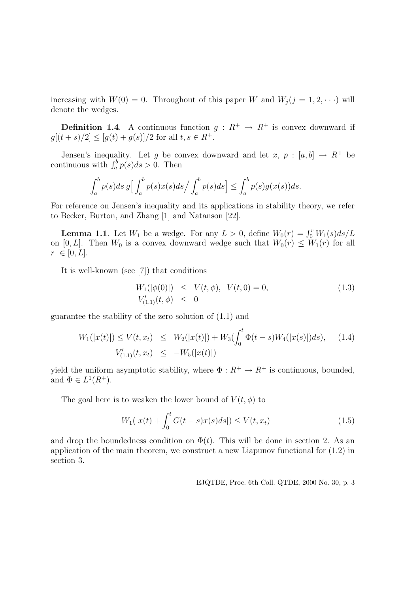increasing with  $W(0) = 0$ . Throughout of this paper W and  $W_i (j = 1, 2, \dots)$  will denote the wedges.

**Definition 1.4.** A continuous function  $g: R^+ \to R^+$  is convex downward if  $g[(t+s)/2] \leq [g(t) + g(s)]/2$  for all  $t, s \in R^+$ .

Jensen's inequality. Let g be convex downward and let x,  $p : [a, b] \rightarrow R^+$  be continuous with  $\int_a^b p(s)ds > 0$ . Then

$$
\int_a^b p(s)ds \, g\Big[\int_a^b p(s)x(s)ds\Big/\int_a^b p(s)ds\Big] \le \int_a^b p(s)g(x(s))ds.
$$

For reference on Jensen's inequality and its applications in stability theory, we refer to Becker, Burton, and Zhang [1] and Natanson [22].

**Lemma 1.1**. Let  $W_1$  be a wedge. For any  $L > 0$ , define  $W_0(r) = \int_0^r W_1(s)ds/L$ on [0, L]. Then  $W_0$  is a convex downward wedge such that  $W_0(r) \leq W_1(r)$  for all  $r \in [0, L].$ 

It is well-known (see [7]) that conditions

$$
W_1(|\phi(0)|) \le V(t, \phi), V(t, 0) = 0,
$$
  
\n
$$
V'_{(1,1)}(t, \phi) \le 0
$$
\n(1.3)

guarantee the stability of the zero solution of (1.1) and

$$
W_1(|x(t)|) \le V(t, x_t) \le W_2(|x(t)|) + W_3(\int_0^t \Phi(t-s)W_4(|x(s)|)ds), \quad (1.4)
$$
  

$$
V'_{(1,1)}(t, x_t) \le -W_5(|x(t)|)
$$

yield the uniform asymptotic stability, where  $\Phi: R^+ \to R^+$  is continuous, bounded, and  $\Phi \in L^1(R^+).$ 

The goal here is to weaken the lower bound of  $V(t, \phi)$  to

$$
W_1(|x(t) + \int_0^t G(t - s)x(s)ds|) \le V(t, x_t)
$$
\n(1.5)

and drop the boundedness condition on  $\Phi(t)$ . This will be done in section 2. As an application of the main theorem, we construct a new Liapunov functional for (1.2) in section 3.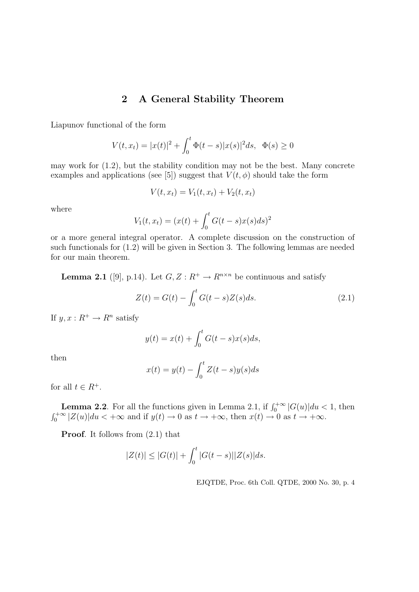## 2 A General Stability Theorem

Liapunov functional of the form

$$
V(t, x_t) = |x(t)|^2 + \int_0^t \Phi(t - s)|x(s)|^2 ds, \ \ \Phi(s) \ge 0
$$

may work for (1.2), but the stability condition may not be the best. Many concrete examples and applications (see [5]) suggest that  $V(t, \phi)$  should take the form

$$
V(t, x_t) = V_1(t, x_t) + V_2(t, x_t)
$$

where

$$
V_1(t, x_t) = (x(t) + \int_0^t G(t - s)x(s)ds)^2
$$

or a more general integral operator. A complete discussion on the construction of such functionals for (1.2) will be given in Section 3. The following lemmas are needed for our main theorem.

**Lemma 2.1** ([9], p.14). Let  $G, Z: R^+ \to R^{n \times n}$  be continuous and satisfy

$$
Z(t) = G(t) - \int_0^t G(t - s)Z(s)ds.
$$
 (2.1)

If  $y, x : R^+ \to R^n$  satisfy

$$
y(t) = x(t) + \int_0^t G(t - s)x(s)ds,
$$

then

$$
x(t) = y(t) - \int_0^t Z(t - s)y(s)ds
$$

for all  $t \in R^+$ .

**Lemma 2.2.** For all the functions given in Lemma 2.1, if  $\int_0^{+\infty} |G(u)| du < 1$ , then  $\int_0^{+\infty} |Z(u)| du < +\infty$  and if  $y(t) \to 0$  as  $t \to +\infty$ , then  $x(t) \to 0$  as  $t \to +\infty$ .

Proof. It follows from  $(2.1)$  that

$$
|Z(t)| \le |G(t)| + \int_0^t |G(t-s)||Z(s)|ds.
$$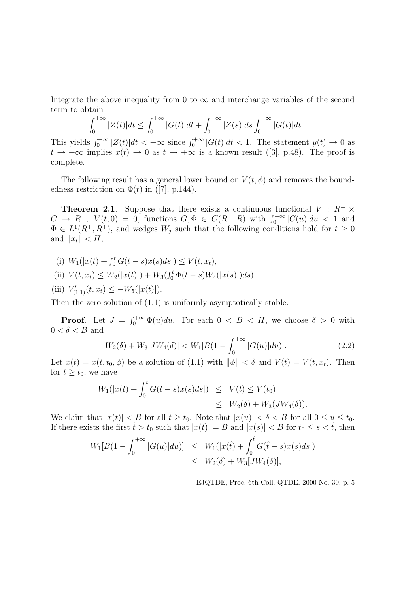Integrate the above inequality from 0 to  $\infty$  and interchange variables of the second term to obtain

$$
\int_0^{+\infty} |Z(t)|dt \le \int_0^{+\infty} |G(t)|dt + \int_0^{+\infty} |Z(s)|ds \int_0^{+\infty} |G(t)|dt.
$$

This yields  $\int_0^{+\infty} |Z(t)|dt < +\infty$  since  $\int_0^{+\infty} |G(t)|dt < 1$ . The statement  $y(t) \to 0$  as  $t \to +\infty$  implies  $x(t) \to 0$  as  $t \to +\infty$  is a known result ([3], p.48). The proof is complete.

The following result has a general lower bound on  $V(t, \phi)$  and removes the boundedness restriction on  $\Phi(t)$  in ([7], p.144).

**Theorem 2.1.** Suppose that there exists a continuous functional  $V : R^+ \times$  $C \rightarrow R^+$ ,  $V(t,0) = 0$ , functions  $G, \Phi \in C(R^+,R)$  with  $\int_0^{+\infty} |G(u)| du < 1$  and  $\Phi \in L^1(R^+, R^+)$ , and wedges  $W_j$  such that the following conditions hold for  $t \geq 0$ and  $||x_t|| < H$ ,

(i) 
$$
W_1(|x(t) + \int_0^t G(t-s)x(s)ds|) \le V(t, x_t),
$$

(ii) 
$$
V(t, x_t) \le W_2(|x(t)|) + W_3(\int_0^t \Phi(t-s)W_4(|x(s)|)ds)
$$

(iii)  $V'_{(1,1)}(t, x_t) \le -W_5(|x(t)|).$ 

Then the zero solution of (1.1) is uniformly asymptotically stable.

**Proof.** Let  $J = \int_0^{+\infty} \Phi(u) du$ . For each  $0 < B < H$ , we choose  $\delta > 0$  with  $0 < \delta < B$  and

$$
W_2(\delta) + W_3[JW_4(\delta)] < W_1[B(1 - \int_0^{+\infty} |G(u)| du)].\tag{2.2}
$$

Let  $x(t) = x(t, t_0, \phi)$  be a solution of (1.1) with  $\|\phi\| < \delta$  and  $V(t) = V(t, x_t)$ . Then for  $t \geq t_0$ , we have

$$
W_1(|x(t) + \int_0^t G(t-s)x(s)ds|) \leq V(t) \leq V(t_0)
$$
  
\$\leq W\_2(\delta) + W\_3(JW\_4(\delta))\$.

We claim that  $|x(t)| < B$  for all  $t \ge t_0$ . Note that  $|x(u)| < \delta < B$  for all  $0 \le u \le t_0$ . If there exists the first  $\hat{t} > t_0$  such that  $|x(\hat{t})| = B$  and  $|x(s)| < B$  for  $t_0 \leq s < \hat{t}$ , then

$$
W_1[B(1 - \int_0^{+\infty} |G(u)|du)] \leq W_1(|x(t) + \int_0^{\hat{t}} G(\hat{t} - s)x(s)ds|)
$$
  

$$
\leq W_2(\delta) + W_3[JW_4(\delta)],
$$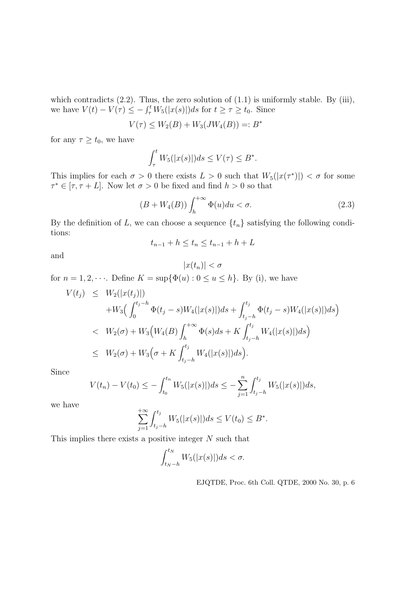which contradicts  $(2.2)$ . Thus, the zero solution of  $(1.1)$  is uniformly stable. By  $(iii)$ , we have  $V(t) - V(\tau) \le - \int_{\tau}^{t} W_5(|x(s)|)ds$  for  $t \ge \tau \ge t_0$ . Since

$$
V(\tau) \le W_2(B) + W_3(JW_4(B)) =: B^*
$$

for any  $\tau \geq t_0$ , we have

$$
\int_{\tau}^{t} W_5(|x(s)|)ds \le V(\tau) \le B^*.
$$

This implies for each  $\sigma > 0$  there exists  $L > 0$  such that  $W_5(|x(\tau^*)|) < \sigma$  for some  $\tau^* \in [\tau, \tau + L]$ . Now let  $\sigma > 0$  be fixed and find  $h > 0$  so that

$$
(B + W4(B)) \int_{h}^{+\infty} \Phi(u) du < \sigma. \tag{2.3}
$$

By the definition of L, we can choose a sequence  $\{t_n\}$  satisfying the following conditions:

$$
t_{n-1} + h \le t_n \le t_{n-1} + h + L
$$

and

$$
|x(t_n)| < \sigma
$$

for  $n = 1, 2, \dots$ . Define  $K = \sup{\{\Phi(u) : 0 \le u \le h\}}$ . By (i), we have

$$
V(t_j) \leq W_2(|x(t_j)|)
$$
  
+
$$
W_3\left(\int_0^{t_j-h} \Phi(t_j-s)W_4(|x(s)|)ds + \int_{t_j-h}^{t_j} \Phi(t_j-s)W_4(|x(s)|)ds\right)
$$
  
<
$$
\leq W_2(\sigma) + W_3\left(W_4(B)\int_h^{+\infty} \Phi(s)ds + K\int_{t_j-h}^{t_j} W_4(|x(s)|)ds\right)
$$
  

$$
\leq W_2(\sigma) + W_3\left(\sigma + K\int_{t_j-h}^{t_j} W_4(|x(s)|)ds\right).
$$

Since

$$
V(t_n) - V(t_0) \le - \int_{t_0}^{t_n} W_5(|x(s)|)ds \le - \sum_{j=1}^n \int_{t_j - h}^{t_j} W_5(|x(s)|)ds,
$$

we have

$$
\sum_{j=1}^{+\infty} \int_{t_j-h}^{t_j} W_5(|x(s)|)ds \le V(t_0) \le B^*.
$$

This implies there exists a positive integer  $N$  such that

$$
\int_{t_N-h}^{t_N} W_5(|x(s)|)ds < \sigma.
$$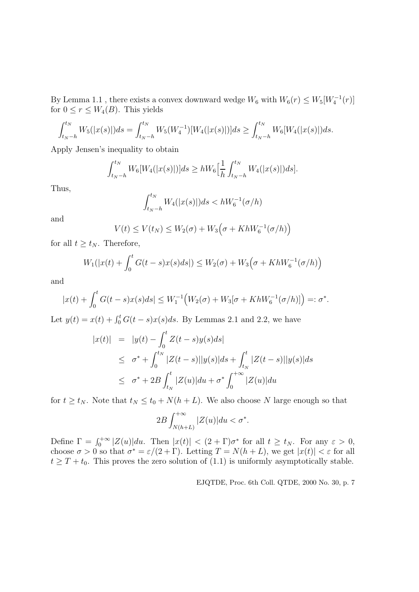By Lemma 1.1, there exists a convex downward wedge  $W_6$  with  $W_6(r) \leq W_5[W_4^{-1}(r)]$ for  $0 \le r \le W_4(B)$ . This yields

$$
\int_{t_N-h}^{t_N} W_5(|x(s)|)ds = \int_{t_N-h}^{t_N} W_5(W_4^{-1})[W_4(|x(s)|)]ds \ge \int_{t_N-h}^{t_N} W_6[W_4(|x(s)|)ds.
$$

Apply Jensen's inequality to obtain

$$
\int_{t_N-h}^{t_N} W_6[W_4(|x(s)|)]ds \ge hW_6\Big[\frac{1}{h}\int_{t_N-h}^{t_N} W_4(|x(s)|)ds\Big].
$$

Thus,

$$
\int_{t_N - h}^{t_N} W_4(|x(s)|) ds < hW_6^{-1}(\sigma/h)
$$

and

$$
V(t) \le V(t_N) \le W_2(\sigma) + W_3(\sigma + KhW_6^{-1}(\sigma/h))
$$

for all  $t \geq t_N$ . Therefore,

$$
W_1(|x(t) + \int_0^t G(t - s)x(s)ds|) \le W_2(\sigma) + W_3(\sigma + KhW_6^{-1}(\sigma/h))
$$

and

$$
|x(t) + \int_0^t G(t-s)x(s)ds| \le W_1^{-1}\Big(W_2(\sigma) + W_3[\sigma + KhW_6^{-1}(\sigma/h)]\Big) =: \sigma^*.
$$

Let  $y(t) = x(t) + \int_0^t G(t-s)x(s)ds$ . By Lemmas 2.1 and 2.2, we have

$$
|x(t)| = |y(t) - \int_0^t Z(t-s)y(s)ds|
$$
  
\n
$$
\leq \sigma^* + \int_0^{t_N} |Z(t-s)||y(s)|ds + \int_{t_N}^t |Z(t-s)||y(s)|ds
$$
  
\n
$$
\leq \sigma^* + 2B \int_{t_N}^t |Z(u)|du + \sigma^* \int_0^{+\infty} |Z(u)|du
$$

for  $t \geq t_N$ . Note that  $t_N \leq t_0 + N(h+L)$ . We also choose N large enough so that

$$
2B\int_{N(h+L)}^{+\infty} |Z(u)| du < \sigma^*.
$$

Define  $\Gamma = \int_0^{+\infty} |Z(u)| du$ . Then  $|x(t)| < (2+\Gamma)\sigma^*$  for all  $t \ge t_N$ . For any  $\varepsilon > 0$ , choose  $\sigma > 0$  so that  $\sigma^* = \varepsilon/(2+\Gamma)$ . Letting  $T = N(h+L)$ , we get  $|x(t)| < \varepsilon$  for all  $t \geq T + t_0$ . This proves the zero solution of (1.1) is uniformly asymptotically stable.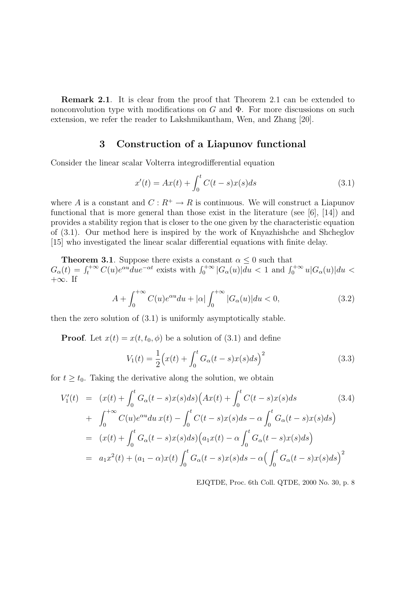Remark 2.1. It is clear from the proof that Theorem 2.1 can be extended to nonconvolution type with modifications on  $G$  and  $\Phi$ . For more discussions on such extension, we refer the reader to Lakshmikantham, Wen, and Zhang [20].

## 3 Construction of a Liapunov functional

Consider the linear scalar Volterra integrodifferential equation

$$
x'(t) = Ax(t) + \int_0^t C(t - s)x(s)ds
$$
\n(3.1)

where A is a constant and  $C: R^+ \to R$  is continuous. We will construct a Liapunov functional that is more general than those exist in the literature (see [6], [14]) and provides a stability region that is closer to the one given by the characteristic equation of (3.1). Our method here is inspired by the work of Knyazhishche and Shcheglov [15] who investigated the linear scalar differential equations with finite delay.

**Theorem 3.1.** Suppose there exists a constant  $\alpha \leq 0$  such that  $G_{\alpha}(t) = \int_{t}^{+\infty} C(u)e^{\alpha u} du e^{-\alpha t}$  exists with  $\int_{0}^{+\infty} |G_{\alpha}(u)| du < 1$  and  $\int_{0}^{+\infty} u|G_{\alpha}(u)| du <$  $+\infty$ . If

$$
A + \int_0^{+\infty} C(u)e^{\alpha u} du + |\alpha| \int_0^{+\infty} |G_{\alpha}(u)| du < 0,
$$
\n(3.2)

then the zero solution of (3.1) is uniformly asymptotically stable.

**Proof.** Let  $x(t) = x(t, t_0, \phi)$  be a solution of (3.1) and define

$$
V_1(t) = \frac{1}{2} \Big( x(t) + \int_0^t G_\alpha(t - s) x(s) ds \Big)^2
$$
\n(3.3)

for  $t \geq t_0$ . Taking the derivative along the solution, we obtain

$$
V'_{1}(t) = (x(t) + \int_{0}^{t} G_{\alpha}(t-s)x(s)ds) \Big( Ax(t) + \int_{0}^{t} C(t-s)x(s)ds \qquad (3.4)
$$
  
+ 
$$
\int_{0}^{+\infty} C(u)e^{\alpha u} du \, x(t) - \int_{0}^{t} C(t-s)x(s)ds - \alpha \int_{0}^{t} G_{\alpha}(t-s)x(s)ds \Big)
$$
  
= 
$$
(x(t) + \int_{0}^{t} G_{\alpha}(t-s)x(s)ds) \Big( a_{1}x(t) - \alpha \int_{0}^{t} G_{\alpha}(t-s)x(s)ds \Big)
$$
  
= 
$$
a_{1}x^{2}(t) + (a_{1} - \alpha)x(t) \int_{0}^{t} G_{\alpha}(t-s)x(s)ds - \alpha \Big( \int_{0}^{t} G_{\alpha}(t-s)x(s)ds \Big)^{2}
$$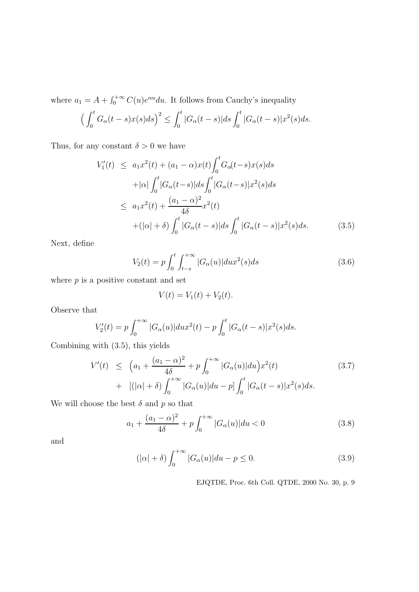where  $a_1 = A + \int_0^{+\infty} C(u)e^{\alpha u} du$ . It follows from Cauchy's inequality

$$
\left(\int_0^t G_\alpha(t-s)x(s)ds\right)^2 \le \int_0^t |G_\alpha(t-s)|ds \int_0^t |G_\alpha(t-s)|x^2(s)ds.
$$

Thus, for any constant  $\delta > 0$  we have

$$
V'_{1}(t) \leq a_{1}x^{2}(t) + (a_{1} - \alpha)x(t) \int_{0}^{t} G_{\alpha}(t-s)x(s)ds
$$
  
+|\alpha| \int\_{0}^{t} |G\_{\alpha}(t-s)|ds \int\_{0}^{t} |G\_{\alpha}(t-s)|x^{2}(s)ds  

$$
\leq a_{1}x^{2}(t) + \frac{(a_{1} - \alpha)^{2}}{4\delta}x^{2}(t)
$$
  
+(|\alpha| + \delta) \int\_{0}^{t} |G\_{\alpha}(t-s)|ds \int\_{0}^{t} |G\_{\alpha}(t-s)|x^{2}(s)ds. (3.5)

Next, define

$$
V_2(t) = p \int_0^t \int_{t-s}^{+\infty} |G_\alpha(u)| du x^2(s) ds \tag{3.6}
$$

where  $p$  is a positive constant and set

$$
V(t) = V_1(t) + V_2(t).
$$

Observe that

$$
V_2'(t) = p \int_0^{+\infty} |G_{\alpha}(u)| du x^2(t) - p \int_0^t |G_{\alpha}(t-s)| x^2(s) ds.
$$

Combining with (3.5), this yields

$$
V'(t) \leq (a_1 + \frac{(a_1 - \alpha)^2}{4\delta} + p \int_0^{+\infty} |G_{\alpha}(u)| du) x^2(t)
$$
\n
$$
+ [(|\alpha| + \delta) \int_0^{+\infty} |G_{\alpha}(u)| du - p] \int_0^t |G_{\alpha}(t - s)| x^2(s) ds.
$$
\n(3.7)

We will choose the best  $\delta$  and  $p$  so that

$$
a_1 + \frac{(a_1 - \alpha)^2}{4\delta} + p \int_0^{+\infty} |G_\alpha(u)| du < 0 \tag{3.8}
$$

and

$$
(|\alpha| + \delta) \int_0^{+\infty} |G_{\alpha}(u)| du - p \le 0.
$$
 (3.9)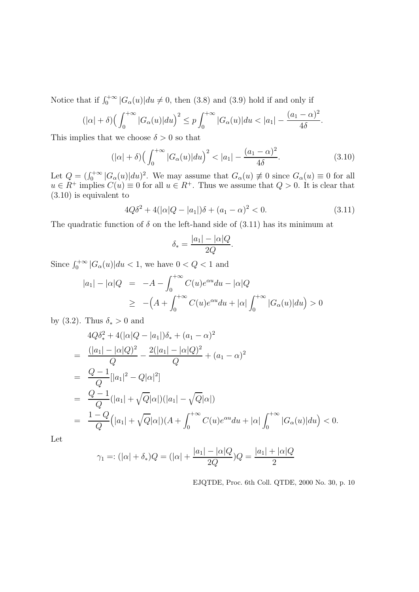Notice that if  $\int_0^{+\infty} |G_\alpha(u)| du \neq 0$ , then (3.8) and (3.9) hold if and only if

$$
(|\alpha| + \delta) \Big(\int_0^{+\infty} |G_{\alpha}(u)| du\Big)^2 \le p \int_0^{+\infty} |G_{\alpha}(u)| du < |a_1| - \frac{(a_1 - \alpha)^2}{4\delta}.
$$

This implies that we choose  $\delta > 0$  so that

$$
(|\alpha| + \delta) \left( \int_0^{+\infty} |G_\alpha(u)| du \right)^2 < |a_1| - \frac{(a_1 - \alpha)^2}{4\delta}.\tag{3.10}
$$

Let  $Q = (\int_0^{+\infty} |G_{\alpha}(u)| du)^2$ . We may assume that  $G_{\alpha}(u) \neq 0$  since  $G_{\alpha}(u) \equiv 0$  for all  $u \in R^+$  implies  $C(u) \equiv 0$  for all  $u \in R^+$ . Thus we assume that  $Q > 0$ . It is clear that (3.10) is equivalent to

$$
4Q\delta^2 + 4(|\alpha|Q - |a_1|)\delta + (a_1 - \alpha)^2 < 0. \tag{3.11}
$$

The quadratic function of  $\delta$  on the left-hand side of (3.11) has its minimum at

$$
\delta_* = \frac{|a_1| - |\alpha|Q}{2Q}.
$$

Since  $\int_0^{+\infty} |G_\alpha(u)| du < 1$ , we have  $0 < Q < 1$  and

$$
|a_1| - |\alpha|Q = -A - \int_0^{+\infty} C(u)e^{\alpha u}du - |\alpha|Q
$$
  
\n
$$
\geq -(A + \int_0^{+\infty} C(u)e^{\alpha u}du + |\alpha| \int_0^{+\infty} |G_{\alpha}(u)|du) > 0
$$

by (3.2). Thus  $\delta_* > 0$  and

$$
4Q\delta_*^2 + 4(|\alpha|Q - |\alpha_1|)\delta_* + (a_1 - \alpha)^2
$$
  
= 
$$
\frac{(|a_1| - |\alpha|Q)^2}{Q} - \frac{2(|a_1| - |\alpha|Q)^2}{Q} + (a_1 - \alpha)^2
$$
  
= 
$$
\frac{Q - 1}{Q} [|\alpha_1|^2 - Q|\alpha|^2]
$$
  
= 
$$
\frac{Q - 1}{Q} (|\alpha_1| + \sqrt{Q}|\alpha|)(|\alpha_1| - \sqrt{Q}|\alpha|)
$$
  
= 
$$
\frac{1 - Q}{Q} (|\alpha_1| + \sqrt{Q}|\alpha|)(A + \int_0^{+\infty} C(u)e^{\alpha u} du + |\alpha| \int_0^{+\infty} |G_{\alpha}(u)| du) < 0.
$$

Let

$$
\gamma_1 =: (|\alpha| + \delta_*)Q = (|\alpha| + \frac{|a_1| - |\alpha|Q}{2Q})Q = \frac{|a_1| + |\alpha|Q}{2}
$$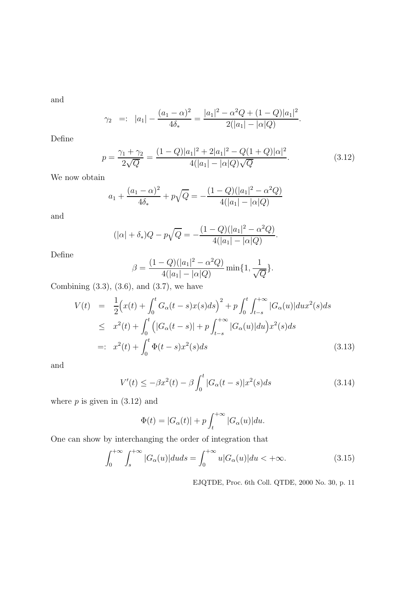and

$$
\gamma_2
$$
 =:  $|a_1| - \frac{(a_1 - \alpha)^2}{4\delta_*} = \frac{|a_1|^2 - \alpha^2 Q + (1 - Q)|a_1|^2}{2(|a_1| - |\alpha|Q)}.$ 

Define

$$
p = \frac{\gamma_1 + \gamma_2}{2\sqrt{Q}} = \frac{(1 - Q)|a_1|^2 + 2|a_1|^2 - Q(1 + Q)|\alpha|^2}{4(|a_1| - |\alpha|Q)\sqrt{Q}}.
$$
\n(3.12)

We now obtain

$$
a_1 + \frac{(a_1 - \alpha)^2}{4\delta_*} + p\sqrt{Q} = -\frac{(1 - Q)(|a_1|^2 - \alpha^2 Q)}{4(|a_1| - |\alpha|Q)}
$$

and

$$
(|\alpha| + \delta_*)Q - p\sqrt{Q} = -\frac{(1-Q)(|a_1|^2 - \alpha^2 Q)}{4(|a_1| - |\alpha|Q)}.
$$

Define

$$
\beta = \frac{(1 - Q)(|a_1|^2 - \alpha^2 Q)}{4(|a_1| - |\alpha|Q)} \min\{1, \frac{1}{\sqrt{Q}}\}.
$$

Combining  $(3.3)$ ,  $(3.6)$ , and  $(3.7)$ , we have

$$
V(t) = \frac{1}{2} \Big( x(t) + \int_0^t G_\alpha(t-s) x(s) ds \Big)^2 + p \int_0^t \int_{t-s}^{+\infty} |G_\alpha(u)| du x^2(s) ds
$$
  
\n
$$
\leq x^2(t) + \int_0^t \Big( |G_\alpha(t-s)| + p \int_{t-s}^{+\infty} |G_\alpha(u)| du \Big) x^2(s) ds
$$
  
\n
$$
=: x^2(t) + \int_0^t \Phi(t-s) x^2(s) ds \tag{3.13}
$$

and

$$
V'(t) \le -\beta x^2(t) - \beta \int_0^t |G_\alpha(t-s)| x^2(s) ds \tag{3.14}
$$

where  $p$  is given in  $(3.12)$  and

$$
\Phi(t) = |G_{\alpha}(t)| + p \int_{t}^{+\infty} |G_{\alpha}(u)| du.
$$

One can show by interchanging the order of integration that

$$
\int_0^{+\infty} \int_s^{+\infty} |G_\alpha(u)| du ds = \int_0^{+\infty} u|G_\alpha(u)| du < +\infty.
$$
 (3.15)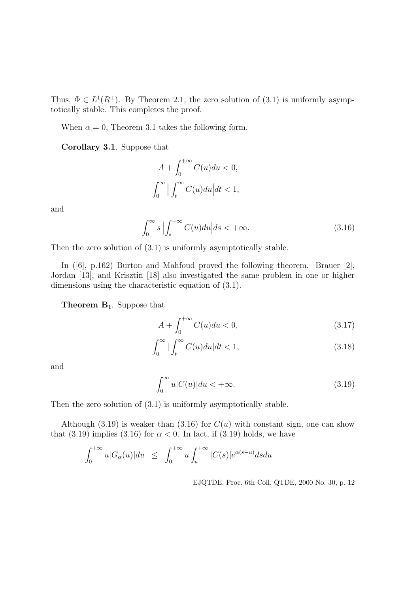Thus,  $\Phi \in L^1(R^+)$ . By Theorem 2.1, the zero solution of (3.1) is uniformly asymptotically stable. This completes the proof.

When  $\alpha = 0$ , Theorem 3.1 takes the following form.

Corollary 3.1. Suppose that

$$
A + \int_0^{+\infty} C(u) du < 0,
$$
  

$$
\int_0^{\infty} \Big| \int_t^{\infty} C(u) du \Big| dt < 1,
$$

and

$$
\int_0^\infty s \left| \int_s^{+\infty} C(u) du \right| ds < +\infty.
$$
\n(3.16)

Then the zero solution of (3.1) is uniformly asymptotically stable.

In ([6], p.162) Burton and Mahfoud proved the following theorem. Brauer [2], Jordan [13], and Krisztin [18] also investigated the same problem in one or higher dimensions using the characteristic equation of (3.1).

**Theorem B**<sub>1</sub>. Suppose that

$$
A + \int_0^{+\infty} C(u) du < 0,\tag{3.17}
$$

$$
\int_0^\infty \left| \int_t^\infty C(u) du \right| dt < 1,\tag{3.18}
$$

and

$$
\int_0^\infty u|C(u)|du < +\infty.
$$
\n(3.19)

Then the zero solution of  $(3.1)$  is uniformly asymptotically stable.

Although (3.19) is weaker than (3.16) for  $C(u)$  with constant sign, one can show that (3.19) implies (3.16) for  $\alpha < 0$ . In fact, if (3.19) holds, we have

$$
\int_0^{+\infty} u|G_{\alpha}(u)|du \leq \int_0^{+\infty} u \int_u^{+\infty} |C(s)|e^{\alpha(s-u)}dsdu
$$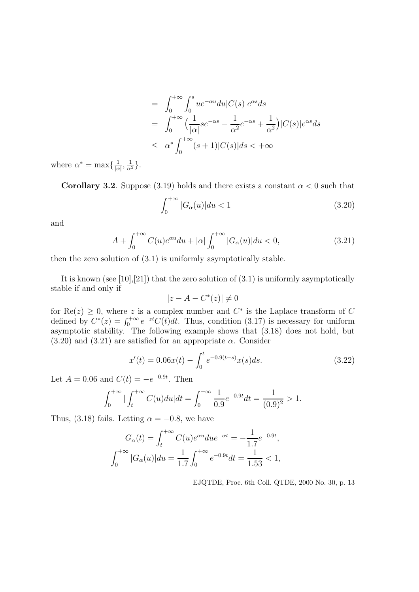$$
= \int_0^{+\infty} \int_0^s ue^{-\alpha u} du |C(s)|e^{\alpha s} ds
$$
  
\n
$$
= \int_0^{+\infty} \left(\frac{1}{|\alpha|}se^{-\alpha s} - \frac{1}{\alpha^2}e^{-\alpha s} + \frac{1}{\alpha^2}\right)|C(s)|e^{\alpha s} ds
$$
  
\n
$$
\leq \alpha^* \int_0^{+\infty} (s+1)|C(s)|ds < +\infty
$$

where  $\alpha^* = \max\{\frac{1}{|\alpha|}$  $\frac{1}{|\alpha|}, \frac{1}{\alpha^2}$ .

Corollary 3.2. Suppose (3.19) holds and there exists a constant  $\alpha < 0$  such that

$$
\int_0^{+\infty} |G_\alpha(u)| du < 1 \tag{3.20}
$$

and

$$
A + \int_0^{+\infty} C(u)e^{\alpha u} du + |\alpha| \int_0^{+\infty} |G_{\alpha}(u)| du < 0,
$$
\n(3.21)

then the zero solution of (3.1) is uniformly asymptotically stable.

It is known (see [10], [21]) that the zero solution of  $(3.1)$  is uniformly asymptotically stable if and only if

$$
|z - A - C^*(z)| \neq 0
$$

for  $\text{Re}(z) \geq 0$ , where z is a complex number and  $C^*$  is the Laplace transform of C defined by  $C^*(z) = \int_0^{+\infty} e^{-zt} C(t) dt$ . Thus, condition (3.17) is necessary for uniform asymptotic stability. The following example shows that  $(3.18)$  does not hold, but  $(3.20)$  and  $(3.21)$  are satisfied for an appropriate  $\alpha$ . Consider

$$
x'(t) = 0.06x(t) - \int_0^t e^{-0.9(t-s)} x(s) ds.
$$
 (3.22)

Let  $A = 0.06$  and  $C(t) = -e^{-0.9t}$ . Then

$$
\int_0^{+\infty} \left| \int_t^{+\infty} C(u) du \right| dt = \int_0^{+\infty} \frac{1}{0.9} e^{-0.9t} dt = \frac{1}{(0.9)^2} > 1.
$$

Thus, (3.18) fails. Letting  $\alpha = -0.8$ , we have

$$
G_{\alpha}(t) = \int_{t}^{+\infty} C(u)e^{\alpha u} du e^{-\alpha t} = -\frac{1}{1.7}e^{-0.9t},
$$
  

$$
\int_{0}^{+\infty} |G_{\alpha}(u)| du = \frac{1}{1.7} \int_{0}^{+\infty} e^{-0.9t} dt = \frac{1}{1.53} < 1,
$$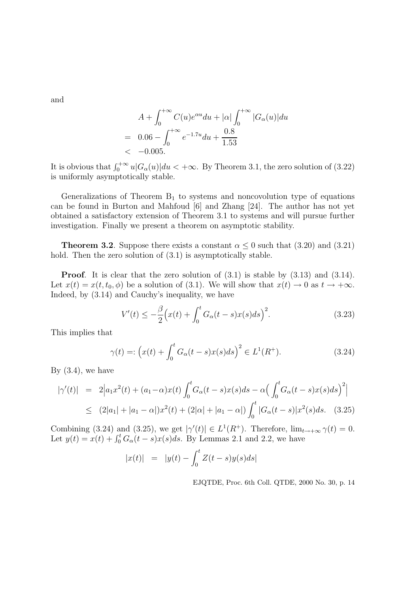and

$$
A + \int_0^{+\infty} C(u)e^{\alpha u} du + |\alpha| \int_0^{+\infty} |G_{\alpha}(u)| du
$$
  
= 0.06 -  $\int_0^{+\infty} e^{-1.7u} du + \frac{0.8}{1.53}$   
< -0.005.

It is obvious that  $\int_0^{+\infty} u |G_\alpha(u)| du < +\infty$ . By Theorem 3.1, the zero solution of (3.22) is uniformly asymptotically stable.

Generalizations of Theorem  $B_1$  to systems and noncovolution type of equations can be found in Burton and Mahfoud [6] and Zhang [24]. The author has not yet obtained a satisfactory extension of Theorem 3.1 to systems and will pursue further investigation. Finally we present a theorem on asymptotic stability.

**Theorem 3.2**. Suppose there exists a constant  $\alpha \leq 0$  such that (3.20) and (3.21) hold. Then the zero solution of  $(3.1)$  is asymptotically stable.

Proof. It is clear that the zero solution of (3.1) is stable by (3.13) and (3.14). Let  $x(t) = x(t, t_0, \phi)$  be a solution of (3.1). We will show that  $x(t) \to 0$  as  $t \to +\infty$ . Indeed, by (3.14) and Cauchy's inequality, we have

$$
V'(t) \le -\frac{\beta}{2} \Big( x(t) + \int_0^t G_\alpha(t - s) x(s) ds \Big)^2.
$$
 (3.23)

This implies that

$$
\gamma(t) =: \left( x(t) + \int_0^t G_\alpha(t - s) x(s) ds \right)^2 \in L^1(R^+). \tag{3.24}
$$

By  $(3.4)$ , we have

$$
|\gamma'(t)| = 2\Big|a_1x^2(t) + (a_1 - \alpha)x(t)\int_0^t G_\alpha(t-s)x(s)ds - \alpha\Big(\int_0^t G_\alpha(t-s)x(s)ds\Big)^2\Big|
$$
  
 
$$
\leq (2|a_1| + |a_1 - \alpha|)x^2(t) + (2|\alpha| + |a_1 - \alpha|)\int_0^t |G_\alpha(t-s)|x^2(s)ds. \quad (3.25)
$$

Combining (3.24) and (3.25), we get  $|\gamma'(t)| \in L^1(R^+)$ . Therefore,  $\lim_{t \to +\infty} \gamma(t) = 0$ . Let  $y(t) = x(t) + \int_0^t G_\alpha(t-s)x(s)ds$ . By Lemmas 2.1 and 2.2, we have

$$
|x(t)| = |y(t) - \int_0^t Z(t-s)y(s)ds|
$$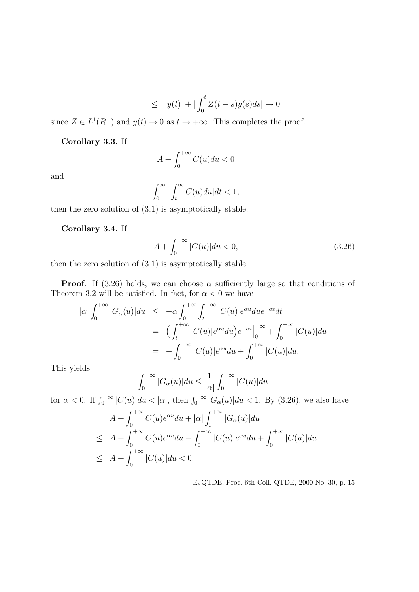$$
\leq |y(t)| + |\int_0^t Z(t-s)y(s)ds| \to 0
$$

since  $Z \in L^1(R^+)$  and  $y(t) \to 0$  as  $t \to +\infty$ . This completes the proof.

Corollary 3.3. If

$$
A + \int_0^{+\infty} C(u) du < 0
$$

and

$$
\int_0^\infty \big| \int_t^\infty C(u) du \big| dt < 1,
$$

then the zero solution of (3.1) is asymptotically stable.

Corollary 3.4. If

$$
A + \int_0^{+\infty} |C(u)| du < 0,
$$
\n(3.26)

then the zero solution of (3.1) is asymptotically stable.

**Proof.** If (3.26) holds, we can choose  $\alpha$  sufficiently large so that conditions of Theorem 3.2 will be satisfied. In fact, for  $\alpha < 0$  we have

$$
|\alpha| \int_0^{+\infty} |G_\alpha(u)| du \le -\alpha \int_0^{+\infty} \int_t^{+\infty} |C(u)| e^{\alpha u} du e^{-\alpha t} dt
$$
  

$$
= \left( \int_t^{+\infty} |C(u)| e^{\alpha u} du \right) e^{-\alpha t} \Big|_0^{+\infty} + \int_0^{+\infty} |C(u)| du
$$
  

$$
= -\int_0^{+\infty} |C(u)| e^{\alpha u} du + \int_0^{+\infty} |C(u)| du.
$$

This yields

$$
\int_0^{+\infty} |G_{\alpha}(u)| du \le \frac{1}{|\alpha|} \int_0^{+\infty} |C(u)| du
$$

for  $\alpha < 0$ . If  $\int_0^{+\infty} |C(u)| du < |\alpha|$ , then  $\int_0^{+\infty} |G_{\alpha}(u)| du < 1$ . By (3.26), we also have

$$
A + \int_0^{+\infty} C(u)e^{\alpha u} du + |\alpha| \int_0^{+\infty} |G_{\alpha}(u)| du
$$
  
\n
$$
\leq A + \int_0^{+\infty} C(u)e^{\alpha u} du - \int_0^{+\infty} |C(u)|e^{\alpha u} du + \int_0^{+\infty} |C(u)| du
$$
  
\n
$$
\leq A + \int_0^{+\infty} |C(u)| du < 0.
$$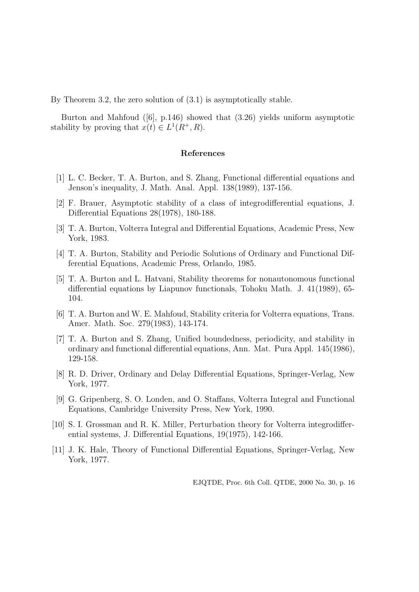By Theorem 3.2, the zero solution of (3.1) is asymptotically stable.

Burton and Mahfoud  $([6], p.146)$  showed that  $(3.26)$  yields uniform asymptotic stability by proving that  $x(t) \in L^1(R^+, R)$ .

#### References

- [1] L. C. Becker, T. A. Burton, and S. Zhang, Functional differential equations and Jenson's inequality, J. Math. Anal. Appl. 138(1989), 137-156.
- [2] F. Brauer, Asymptotic stability of a class of integrodifferential equations, J. Differential Equations 28(1978), 180-188.
- [3] T. A. Burton, Volterra Integral and Differential Equations, Academic Press, New York, 1983.
- [4] T. A. Burton, Stability and Periodic Solutions of Ordinary and Functional Differential Equations, Academic Press, Orlando, 1985.
- [5] T. A. Burton and L. Hatvani, Stability theorems for nonautonomous functional differential equations by Liapunov functionals, Tohoku Math. J. 41(1989), 65- 104.
- [6] T. A. Burton and W. E. Mahfoud, Stability criteria for Volterra equations, Trans. Amer. Math. Soc. 279(1983), 143-174.
- [7] T. A. Burton and S. Zhang, Unified boundedness, periodicity, and stability in ordinary and functional differential equations, Ann. Mat. Pura Appl. 145(1986), 129-158.
- [8] R. D. Driver, Ordinary and Delay Differential Equations, Springer-Verlag, New York, 1977.
- [9] G. Gripenberg, S. O. Londen, and O. Staffans, Volterra Integral and Functional Equations, Cambridge University Press, New York, 1990.
- [10] S. I. Grossman and R. K. Miller, Perturbation theory for Volterra integrodifferential systems, J. Differential Equations, 19(1975), 142-166.
- [11] J. K. Hale, Theory of Functional Differential Equations, Springer-Verlag, New York, 1977.